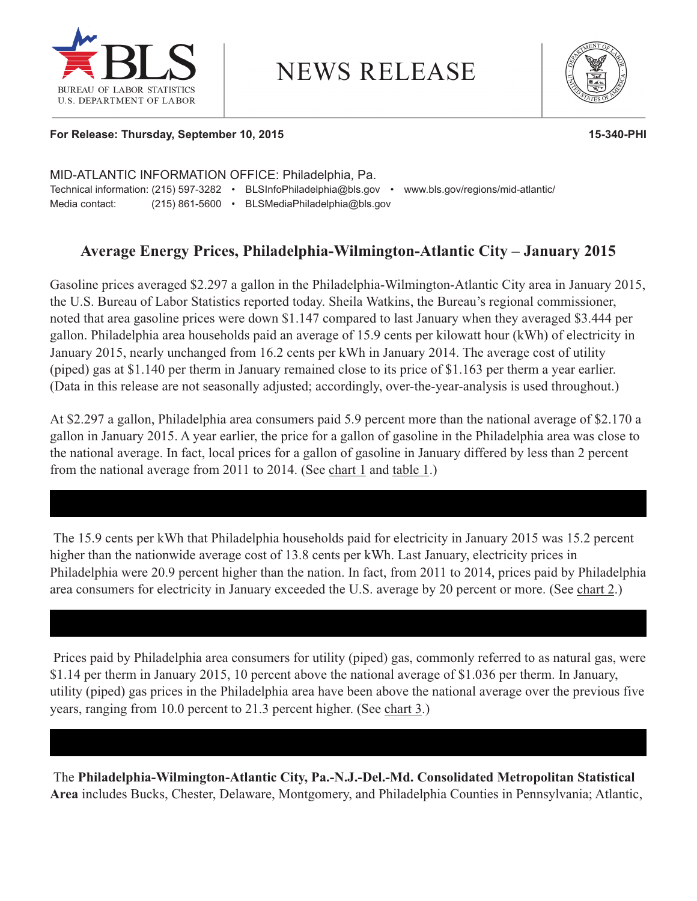

# **NEWS RELEASE**



#### **For Release: Thursday, September 10, 2015 15-340-PHI**

MID-ATLANTIC INFORMATION OFFICE: Philadelphia, Pa. Technical information: (215) 597-3282 • BLSInfoPhiladelphia@bls.gov • www.bls.gov/regions/mid-atlantic/ Media contact: (215) 861-5600 • BLSMediaPhiladelphia@bls.gov

# **Average Energy Prices, Philadelphia-Wilmington-Atlantic City – January 2015**

Gasoline prices averaged \$2.297 a gallon in the Philadelphia-Wilmington-Atlantic City area in January 2015, the U.S. Bureau of Labor Statistics reported today. Sheila Watkins, the Bureau's regional commissioner, noted that area gasoline prices were down \$1.147 compared to last January when they averaged \$3.444 per gallon. Philadelphia area households paid an average of 15.9 cents per kilowatt hour (kWh) of electricity in January 2015, nearly unchanged from 16.2 cents per kWh in January 2014. The average cost of utility (piped) gas at \$1.140 per therm in January remained close to its price of \$1.163 per therm a year earlier. (Data in this release are not seasonally adjusted; accordingly, over-the-year-analysis is used throughout.)

At \$2.297 a gallon, Philadelphia area consumers paid 5.9 percent more than the national average of \$2.170 a gallon in January 2015. A year earlier, the price for a gallon of gasoline in the Philadelphia area was close to the national average. In fact, local prices for a gallon of gasoline in January differed by less than 2 percent from the national average from 2011 to 2014. (See chart 1 and [table 1.](#page-2-0))

The 15.9 cents per kWh that Philadelphia households paid for electricity in January 2015 was 15.2 percent higher than the nationwide average cost of 13.8 cents per kWh. Last January, electricity prices in Philadelphia were 20.9 percent higher than the nation. In fact, from 2011 to 2014, prices paid by Philadelphia area consumers for electricity in January exceeded the U.S. average by 20 percent or more. (See [chart 2.](#page-1-0))

Prices paid by Philadelphia area consumers for utility (piped) gas, commonly referred to as natural gas, were \$1.14 per therm in January 2015, 10 percent above the national average of \$1.036 per therm. In January, utility (piped) gas prices in the Philadelphia area have been above the national average over the previous five years, ranging from 10.0 percent to 21.3 percent higher. (See [chart 3.](#page--1-0))

The **Philadelphia-Wilmington-Atlantic City, Pa.-N.J.-Del.-Md. Consolidated Metropolitan Statistical Area** includes Bucks, Chester, Delaware, Montgomery, and Philadelphia Counties in Pennsylvania; Atlantic,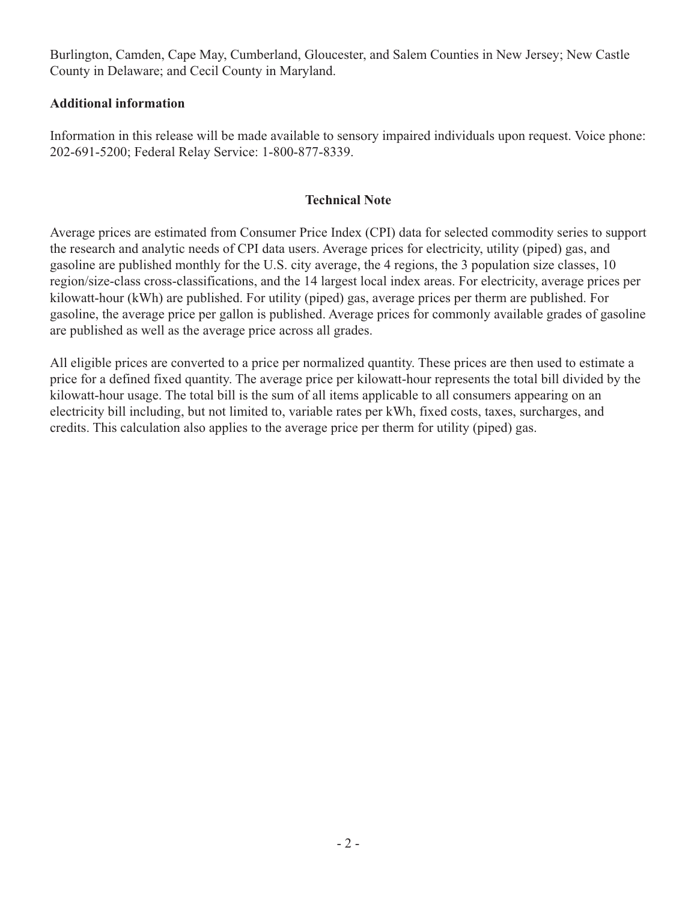<span id="page-1-0"></span>Burlington, Camden, Cape May, Cumberland, Gloucester, and Salem Counties in New Jersey; New Castle County in Delaware; and Cecil County in Maryland.

### **Additional information**

Information in this release will be made available to sensory impaired individuals upon request. Voice phone: 202-691-5200; Federal Relay Service: 1-800-877-8339.

## **Technical Note**

Average prices are estimated from Consumer Price Index (CPI) data for selected commodity series to support the research and analytic needs of CPI data users. Average prices for electricity, utility (piped) gas, and gasoline are published monthly for the U.S. city average, the 4 regions, the 3 population size classes, 10 region/size-class cross-classifications, and the 14 largest local index areas. For electricity, average prices per kilowatt-hour (kWh) are published. For utility (piped) gas, average prices per therm are published. For gasoline, the average price per gallon is published. Average prices for commonly available grades of gasoline are published as well as the average price across all grades.

All eligible prices are converted to a price per normalized quantity. These prices are then used to estimate a price for a defined fixed quantity. The average price per kilowatt-hour represents the total bill divided by the kilowatt-hour usage. The total bill is the sum of all items applicable to all consumers appearing on an electricity bill including, but not limited to, variable rates per kWh, fixed costs, taxes, surcharges, and credits. This calculation also applies to the average price per therm for utility (piped) gas.